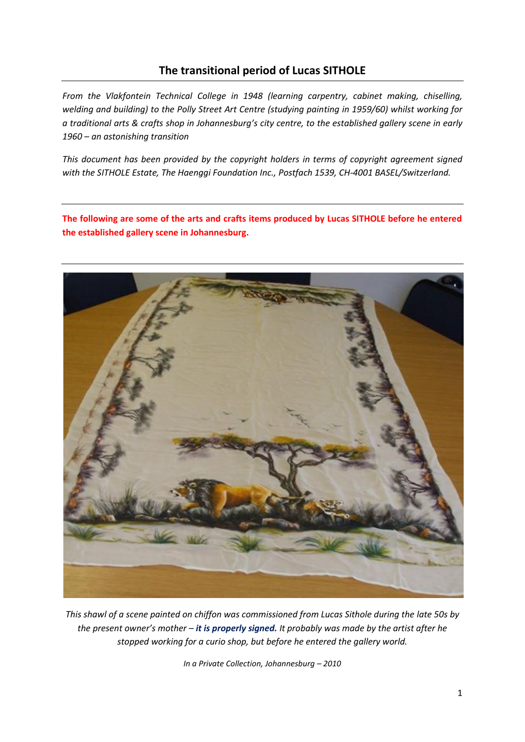# **The transitional period of Lucas SITHOLE**

*From the Vlakfontein Technical College in 1948 (learning carpentry, cabinet making, chiselling, welding and building) to the Polly Street Art Centre (studying painting in 1959/60) whilst working for a traditional arts & crafts shop in Johannesburg's city centre, to the established gallery scene in early 1960 – an astonishing transition*

*This document has been provided by the copyright holders in terms of copyright agreement signed with the SITHOLE Estate, The Haenggi Foundation Inc., Postfach 1539, CH-4001 BASEL/Switzerland.*

**The following are some of the arts and crafts items produced by Lucas SITHOLE before he entered the established gallery scene in Johannesburg.** 



*This shawl of a scene painted on chiffon was commissioned from Lucas Sithole during the late 50s by the present owner's mother – it is properly signed. It probably was made by the artist after he stopped working for a curio shop, but before he entered the gallery world.*

*In a Private Collection, Johannesburg – 2010*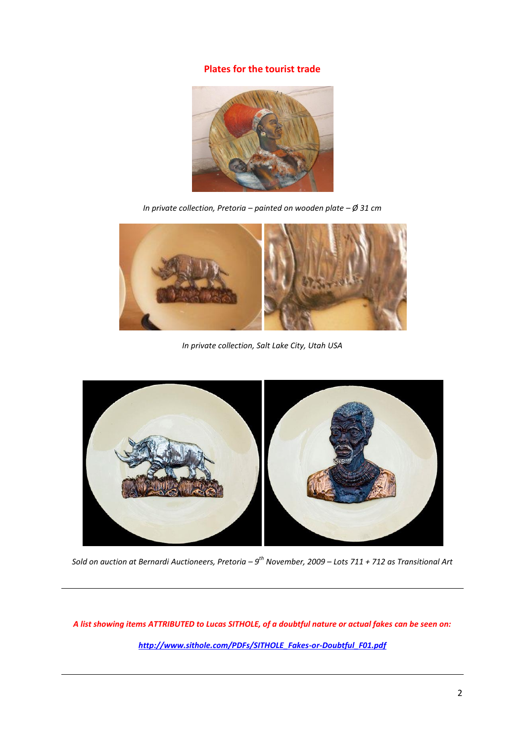### **Plates for the tourist trade**



*In private collection, Pretoria – painted on wooden plate – Ø 31 cm*



*In private collection, Salt Lake City, Utah USA*



*Sold on auction at Bernardi Auctioneers, Pretoria – 9 th November, 2009 – Lots 711 + 712 as Transitional Art* 

*A list showing items ATTRIBUTED to Lucas SITHOLE, of a doubtful nature or actual fakes can be seen on: [http://www.sithole.com/PDFs/SITHOLE\\_Fakes-or-Doubtful\\_F01.pdf](http://www.sithole.com/PDFs/SITHOLE_Fakes-or-Doubtful_F01.pdf)*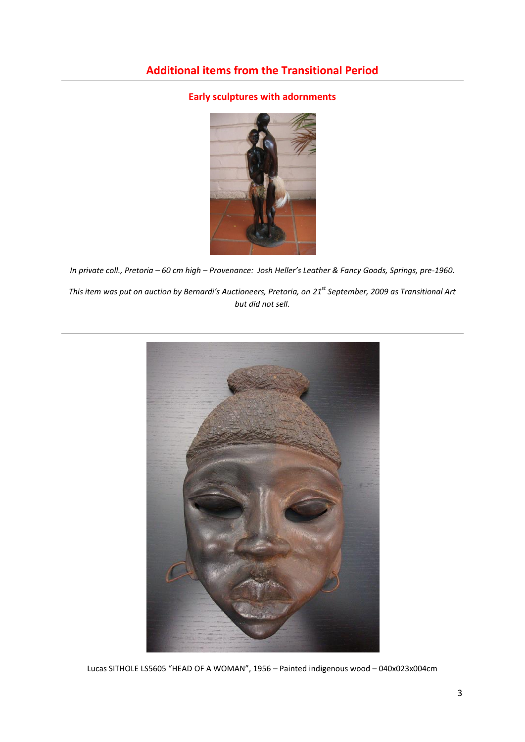# **Early sculptures with adornments**



*In private coll., Pretoria – 60 cm high – Provenance: Josh Heller's Leather & Fancy Goods, Springs, pre-1960. This item was put on auction by Bernardi's Auctioneers, Pretoria, on 21st September, 2009 as Transitional Art but did not sell.*



Lucas SITHOLE LS5605 "HEAD OF A WOMAN", 1956 – Painted indigenous wood – 040x023x004cm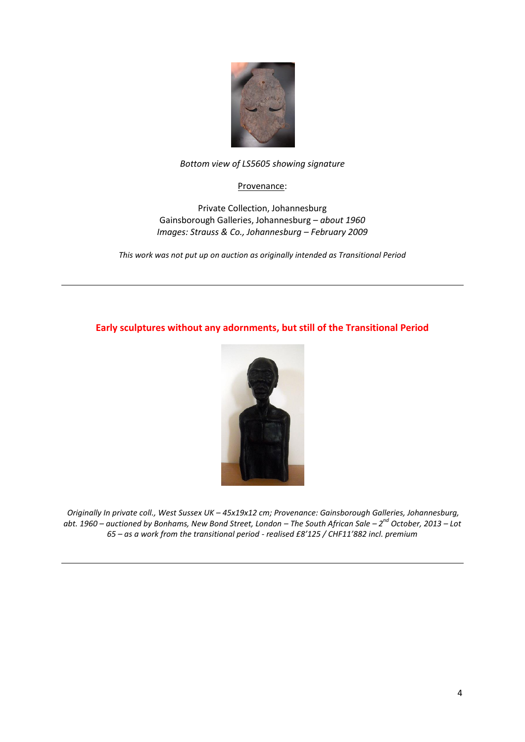

## *Bottom view of LS5605 showing signature*

## Provenance:

Private Collection, Johannesburg Gainsborough Galleries, Johannesburg – *about 1960 Images: Strauss & Co., Johannesburg – February 2009*

*This work was not put up on auction as originally intended as Transitional Period*

# **Early sculptures without any adornments, but still of the Transitional Period**



*Originally In private coll., West Sussex UK – 45x19x12 cm; Provenance: Gainsborough Galleries, Johannesburg, abt. 1960 – auctioned by Bonhams, New Bond Street, London – The South African Sale – 2 nd October, 2013 – Lot 65 – as a work from the transitional period - realised £8'125 / CHF11'882 incl. premium*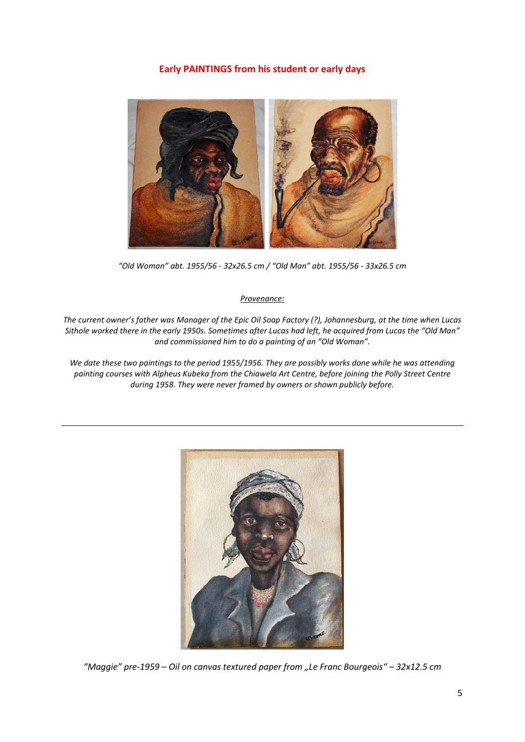## **Early PAINTINGS from his student or early days**



*"Old Woman" abt. 1955/56 - 32x26.5 cm / "Old Man" abt. 1955/56 - 33x26.5 cm*

#### *Provenance:*

*The current owner's father was Manager of the Epic Oil Soap Factory (?), Johannesburg, at the time when Lucas Sithole worked there in the early 1950s. Sometimes after Lucas had left, he acquired from Lucas the "Old Man" and commissioned him to do a painting of an "Old Woman".*

*We date these two paintings to the period 1955/1956. They are possibly works done while he was attending painting courses with Alpheus Kubeka from the Chiawela Art Centre, before joining the Polly Street Centre during 1958. They were never framed by owners or shown publicly before.*



*"Maggie" pre-1959 – Oil on canvas textured paper from "Le Franc Bourgeois" – 32x12.5 cm*